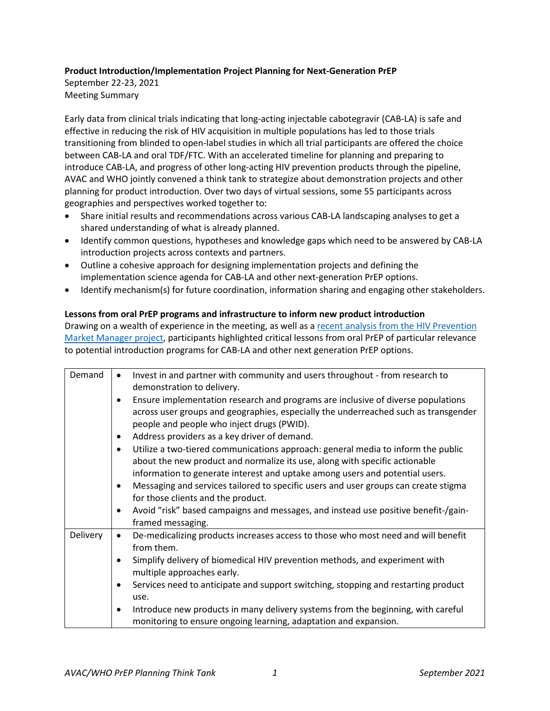# **Product Introduction/Implementation Project Planning for Next-Generation PrEP**

September 22-23, 2021 Meeting Summary

Early data from clinical trials indicating that long-acting injectable cabotegravir (CAB-LA) is safe and effective in reducing the risk of HIV acquisition in multiple populations has led to those trials transitioning from blinded to open-label studies in which all trial participants are offered the choice between CAB-LA and oral TDF/FTC. With an accelerated timeline for planning and preparing to introduce CAB-LA, and progress of other long-acting HIV prevention products through the pipeline, AVAC and WHO jointly convened a think tank to strategize about demonstration projects and other planning for product introduction. Over two days of virtual sessions, some 55 participants across geographies and perspectives worked together to:

- Share initial results and recommendations across various CAB-LA landscaping analyses to get a shared understanding of what is already planned.
- Identify common questions, hypotheses and knowledge gaps which need to be answered by CAB-LA introduction projects across contexts and partners.
- Outline a cohesive approach for designing implementation projects and defining the implementation science agenda for CAB-LA and other next-generation PrEP options.
- Identify mechanism(s) for future coordination, information sharing and engaging other stakeholders.

# **Lessons from oral PrEP programs and infrastructure to inform new product introduction**

Drawing on a wealth of experience in the meeting, as well as a recent analysis from the HIV Prevention [Market Manager project,](https://www.dropbox.com/s/fuen9dk1hp9quj9/PrEP%20Learning%20Report.Oct%202021.pdf?dl=0) participants highlighted critical lessons from oral PrEP of particular relevance to potential introduction programs for CAB-LA and other next generation PrEP options.

| Demand   | Invest in and partner with community and users throughout - from research to<br>$\bullet$                                                                         |
|----------|-------------------------------------------------------------------------------------------------------------------------------------------------------------------|
|          | demonstration to delivery.                                                                                                                                        |
|          | Ensure implementation research and programs are inclusive of diverse populations                                                                                  |
|          | across user groups and geographies, especially the underreached such as transgender                                                                               |
|          | people and people who inject drugs (PWID).                                                                                                                        |
|          | Address providers as a key driver of demand.<br>$\bullet$                                                                                                         |
|          | Utilize a two-tiered communications approach: general media to inform the public<br>$\bullet$                                                                     |
|          | about the new product and normalize its use, along with specific actionable                                                                                       |
|          | information to generate interest and uptake among users and potential users.                                                                                      |
|          | Messaging and services tailored to specific users and user groups can create stigma<br>$\bullet$                                                                  |
|          | for those clients and the product.                                                                                                                                |
|          | Avoid "risk" based campaigns and messages, and instead use positive benefit-/gain-<br>$\bullet$                                                                   |
|          | framed messaging.                                                                                                                                                 |
| Delivery | De-medicalizing products increases access to those who most need and will benefit<br>$\bullet$                                                                    |
|          | from them.                                                                                                                                                        |
|          | Simplify delivery of biomedical HIV prevention methods, and experiment with<br>$\bullet$                                                                          |
|          | multiple approaches early.                                                                                                                                        |
|          | Services need to anticipate and support switching, stopping and restarting product<br>$\bullet$                                                                   |
|          | use.                                                                                                                                                              |
|          | Introduce new products in many delivery systems from the beginning, with careful<br>$\bullet$<br>monitoring to ensure ongoing learning, adaptation and expansion. |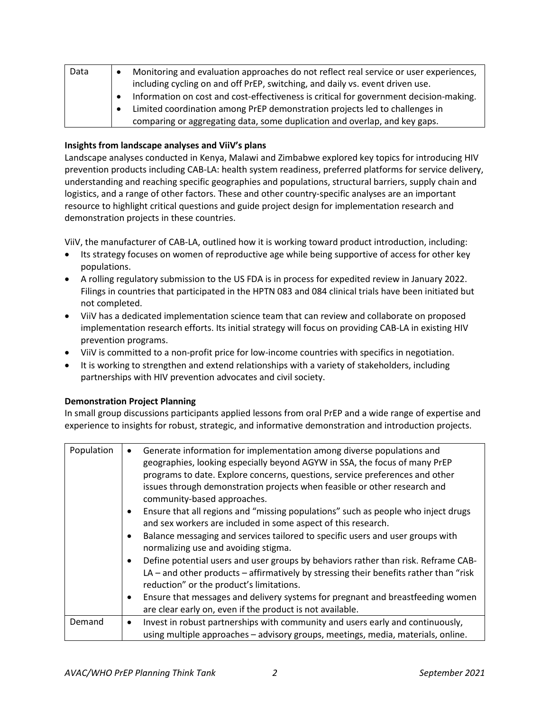| Data | Monitoring and evaluation approaches do not reflect real service or user experiences,  |
|------|----------------------------------------------------------------------------------------|
|      | including cycling on and off PrEP, switching, and daily vs. event driven use.          |
|      | Information on cost and cost-effectiveness is critical for government decision-making. |
|      | Limited coordination among PrEP demonstration projects led to challenges in            |
|      | comparing or aggregating data, some duplication and overlap, and key gaps.             |

# **Insights from landscape analyses and ViiV's plans**

Landscape analyses conducted in Kenya, Malawi and Zimbabwe explored key topics for introducing HIV prevention products including CAB-LA: health system readiness, preferred platforms for service delivery, understanding and reaching specific geographies and populations, structural barriers, supply chain and logistics, and a range of other factors. These and other country-specific analyses are an important resource to highlight critical questions and guide project design for implementation research and demonstration projects in these countries.

ViiV, the manufacturer of CAB-LA, outlined how it is working toward product introduction, including:

- Its strategy focuses on women of reproductive age while being supportive of access for other key populations.
- A rolling regulatory submission to the US FDA is in process for expedited review in January 2022. Filings in countries that participated in the HPTN 083 and 084 clinical trials have been initiated but not completed.
- ViiV has a dedicated implementation science team that can review and collaborate on proposed implementation research efforts. Its initial strategy will focus on providing CAB-LA in existing HIV prevention programs.
- ViiV is committed to a non-profit price for low-income countries with specifics in negotiation.
- It is working to strengthen and extend relationships with a variety of stakeholders, including partnerships with HIV prevention advocates and civil society.

### **Demonstration Project Planning**

In small group discussions participants applied lessons from oral PrEP and a wide range of expertise and experience to insights for robust, strategic, and informative demonstration and introduction projects.

| Population | Generate information for implementation among diverse populations and<br>٠<br>geographies, looking especially beyond AGYW in SSA, the focus of many PrEP<br>programs to date. Explore concerns, questions, service preferences and other<br>issues through demonstration projects when feasible or other research and<br>community-based approaches. |
|------------|------------------------------------------------------------------------------------------------------------------------------------------------------------------------------------------------------------------------------------------------------------------------------------------------------------------------------------------------------|
|            | Ensure that all regions and "missing populations" such as people who inject drugs<br>$\bullet$<br>and sex workers are included in some aspect of this research.                                                                                                                                                                                      |
|            | Balance messaging and services tailored to specific users and user groups with<br>$\bullet$<br>normalizing use and avoiding stigma.                                                                                                                                                                                                                  |
|            | Define potential users and user groups by behaviors rather than risk. Reframe CAB-<br>$\bullet$<br>$LA$ – and other products – affirmatively by stressing their benefits rather than "risk"<br>reduction" or the product's limitations.                                                                                                              |
|            | Ensure that messages and delivery systems for pregnant and breastfeeding women<br>$\bullet$<br>are clear early on, even if the product is not available.                                                                                                                                                                                             |
| Demand     | Invest in robust partnerships with community and users early and continuously,<br>$\bullet$<br>using multiple approaches - advisory groups, meetings, media, materials, online.                                                                                                                                                                      |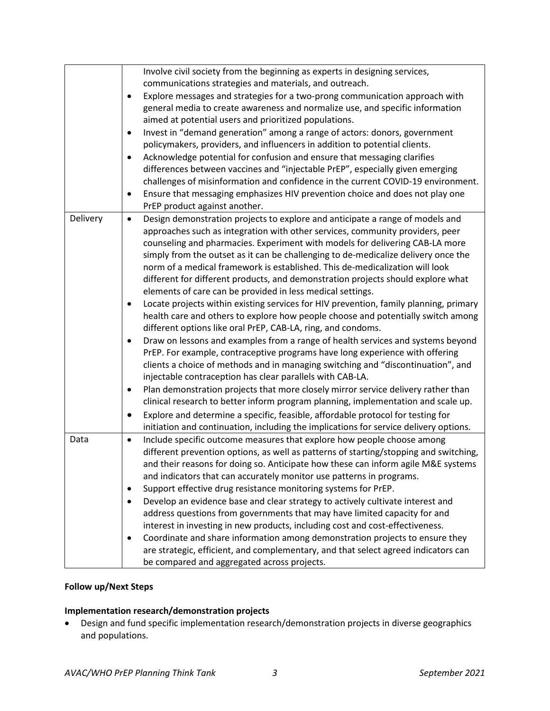|          | Involve civil society from the beginning as experts in designing services,                     |
|----------|------------------------------------------------------------------------------------------------|
|          | communications strategies and materials, and outreach.                                         |
|          | Explore messages and strategies for a two-prong communication approach with                    |
|          | general media to create awareness and normalize use, and specific information                  |
|          | aimed at potential users and prioritized populations.                                          |
|          | Invest in "demand generation" among a range of actors: donors, government<br>٠                 |
|          | policymakers, providers, and influencers in addition to potential clients.                     |
|          | Acknowledge potential for confusion and ensure that messaging clarifies<br>$\bullet$           |
|          | differences between vaccines and "injectable PrEP", especially given emerging                  |
|          | challenges of misinformation and confidence in the current COVID-19 environment.               |
|          | Ensure that messaging emphasizes HIV prevention choice and does not play one<br>٠              |
|          | PrEP product against another.                                                                  |
| Delivery | Design demonstration projects to explore and anticipate a range of models and<br>$\bullet$     |
|          | approaches such as integration with other services, community providers, peer                  |
|          | counseling and pharmacies. Experiment with models for delivering CAB-LA more                   |
|          | simply from the outset as it can be challenging to de-medicalize delivery once the             |
|          | norm of a medical framework is established. This de-medicalization will look                   |
|          | different for different products, and demonstration projects should explore what               |
|          | elements of care can be provided in less medical settings.                                     |
|          | Locate projects within existing services for HIV prevention, family planning, primary<br>٠     |
|          | health care and others to explore how people choose and potentially switch among               |
|          | different options like oral PrEP, CAB-LA, ring, and condoms.                                   |
|          | Draw on lessons and examples from a range of health services and systems beyond<br>$\bullet$   |
|          | PrEP. For example, contraceptive programs have long experience with offering                   |
|          | clients a choice of methods and in managing switching and "discontinuation", and               |
|          | injectable contraception has clear parallels with CAB-LA.                                      |
|          | Plan demonstration projects that more closely mirror service delivery rather than<br>$\bullet$ |
|          | clinical research to better inform program planning, implementation and scale up.              |
|          | Explore and determine a specific, feasible, affordable protocol for testing for<br>$\bullet$   |
|          | initiation and continuation, including the implications for service delivery options.          |
| Data     | Include specific outcome measures that explore how people choose among<br>$\bullet$            |
|          | different prevention options, as well as patterns of starting/stopping and switching,          |
|          | and their reasons for doing so. Anticipate how these can inform agile M&E systems              |
|          | and indicators that can accurately monitor use patterns in programs.                           |
|          | Support effective drug resistance monitoring systems for PrEP.<br>$\bullet$                    |
|          | Develop an evidence base and clear strategy to actively cultivate interest and                 |
|          | address questions from governments that may have limited capacity for and                      |
|          | interest in investing in new products, including cost and cost-effectiveness.                  |
|          | Coordinate and share information among demonstration projects to ensure they<br>٠              |
|          | are strategic, efficient, and complementary, and that select agreed indicators can             |
|          | be compared and aggregated across projects.                                                    |

# **Follow up/Next Steps**

# **Implementation research/demonstration projects**

• Design and fund specific implementation research/demonstration projects in diverse geographics and populations.